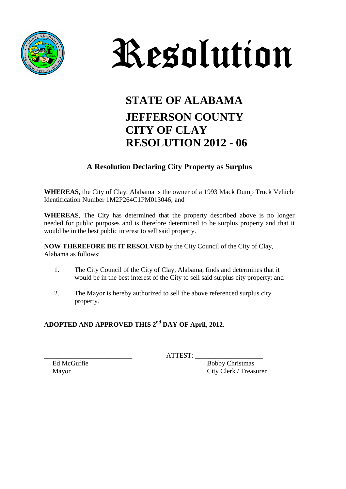



## **STATE OF ALABAMA JEFFERSON COUNTY CITY OF CLAY RESOLUTION 2012 - 06**

#### **A Resolution Declaring City Property as Surplus**

**WHEREAS**, the City of Clay, Alabama is the owner of a 1993 Mack Dump Truck Vehicle Identification Number 1M2P264C1PM013046; and

**WHEREAS**, The City has determined that the property described above is no longer needed for public purposes and is therefore determined to be surplus property and that it would be in the best public interest to sell said property.

**NOW THEREFORE BE IT RESOLVED** by the City Council of the City of Clay, Alabama as follows:

- 1. The City Council of the City of Clay, Alabama, finds and determines that it would be in the best interest of the City to sell said surplus city property; and
- 2. The Mayor is hereby authorized to sell the above referenced surplus city property.

### **ADOPTED AND APPROVED THIS 2nd DAY OF April, 2012**.

 $ATTEST:$ 

Ed McGuffie Bobby Christmas Mayor City Clerk / Treasurer